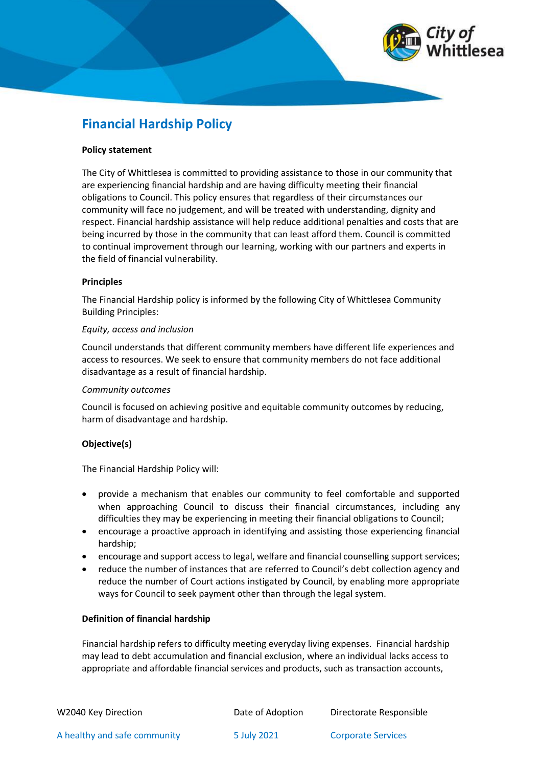

# **Financial Hardship Policy**

#### **Policy statement**

The City of Whittlesea is committed to providing assistance to those in our community that are experiencing financial hardship and are having difficulty meeting their financial obligations to Council. This policy ensures that regardless of their circumstances our community will face no judgement, and will be treated with understanding, dignity and respect. Financial hardship assistance will help reduce additional penalties and costs that are being incurred by those in the community that can least afford them. Council is committed to continual improvement through our learning, working with our partners and experts in the field of financial vulnerability.

## **Principles**

The Financial Hardship policy is informed by the following City of Whittlesea Community Building Principles:

#### *Equity, access and inclusion*

Council understands that different community members have different life experiences and access to resources. We seek to ensure that community members do not face additional disadvantage as a result of financial hardship.

#### *Community outcomes*

Council is focused on achieving positive and equitable community outcomes by reducing, harm of disadvantage and hardship.

## **Objective(s)**

The Financial Hardship Policy will:

- provide a mechanism that enables our community to feel comfortable and supported when approaching Council to discuss their financial circumstances, including any difficulties they may be experiencing in meeting their financial obligations to Council;
- encourage a proactive approach in identifying and assisting those experiencing financial hardship;
- encourage and support access to legal, welfare and financial counselling support services;
- reduce the number of instances that are referred to Council's debt collection agency and reduce the number of Court actions instigated by Council, by enabling more appropriate ways for Council to seek payment other than through the legal system.

## **Definition of financial hardship**

Financial hardship refers to difficulty meeting everyday living expenses. Financial hardship may lead to debt accumulation and financial exclusion, where an individual lacks access to appropriate and affordable financial services and products, such as transaction accounts,

| W2040 Key Direction          | Date of Adoption | Directorate Responsible   |
|------------------------------|------------------|---------------------------|
| A healthy and safe community | 5 July 2021      | <b>Corporate Services</b> |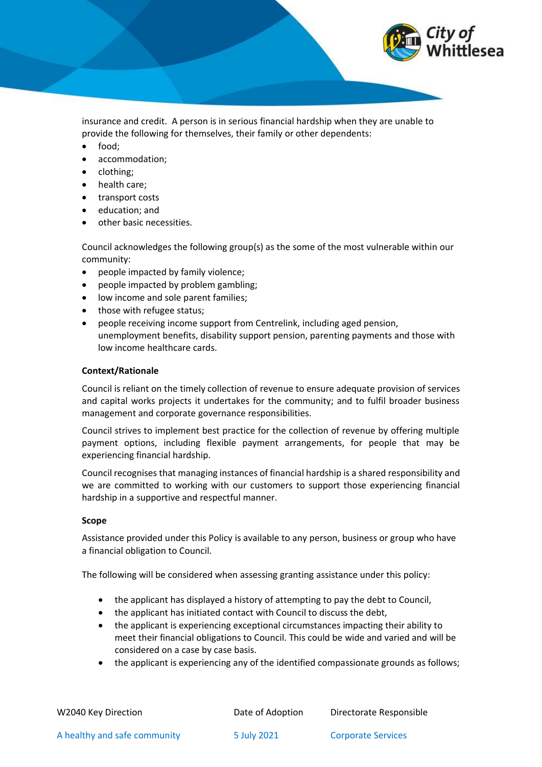

insurance and credit. A person is in serious financial hardship when they are unable to provide the following for themselves, their family or other dependents:

- food;
- accommodation;
- clothing;
- health care;
- transport costs
- education; and
- other basic necessities.

Council acknowledges the following group(s) as the some of the most vulnerable within our community:

- people impacted by family violence;
- people impacted by problem gambling;
- low income and sole parent families;
- those with refugee status;
- people receiving income support from Centrelink, including aged pension, unemployment benefits, disability support pension, parenting payments and those with low income healthcare cards.

## **Context/Rationale**

Council is reliant on the timely collection of revenue to ensure adequate provision of services and capital works projects it undertakes for the community; and to fulfil broader business management and corporate governance responsibilities.

Council strives to implement best practice for the collection of revenue by offering multiple payment options, including flexible payment arrangements, for people that may be experiencing financial hardship.

Council recognises that managing instances of financial hardship is a shared responsibility and we are committed to working with our customers to support those experiencing financial hardship in a supportive and respectful manner.

#### **Scope**

Assistance provided under this Policy is available to any person, business or group who have a financial obligation to Council.

The following will be considered when assessing granting assistance under this policy:

- the applicant has displayed a history of attempting to pay the debt to Council,
- the applicant has initiated contact with Council to discuss the debt,
- the applicant is experiencing exceptional circumstances impacting their ability to meet their financial obligations to Council. This could be wide and varied and will be considered on a case by case basis.
- the applicant is experiencing any of the identified compassionate grounds as follows;

| W2040 Key Direction          | Date of Adoption | Directorate Responsible   |
|------------------------------|------------------|---------------------------|
| A healthy and safe community | 5 July 2021      | <b>Corporate Services</b> |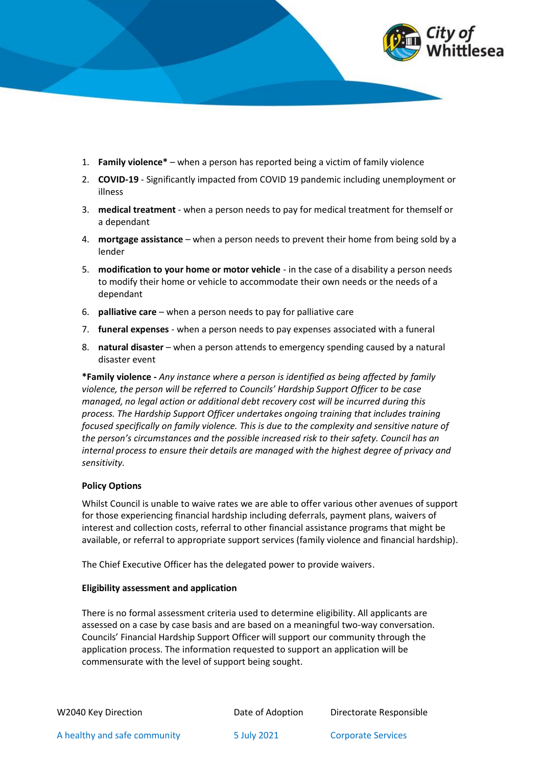

- 1. **Family violence\*** when a person has reported being a victim of family violence
- 2. **COVID-19** Significantly impacted from COVID 19 pandemic including unemployment or illness
- 3. **medical treatment** when a person needs to pay for medical treatment for themself or a dependant
- 4. **mortgage assistance** when a person needs to prevent their home from being sold by a lender
- 5. **modification to your home or motor vehicle** in the case of a disability a person needs to modify their home or vehicle to accommodate their own needs or the needs of a dependant
- 6. **palliative care** when a person needs to pay for palliative care
- 7. **funeral expenses** when a person needs to pay expenses associated with a funeral
- 8. **natural disaster**  when a person attends to emergency spending caused by a natural disaster event

**\*Family violence -** *Any instance where a person is identified as being affected by family violence, the person will be referred to Councils' Hardship Support Officer to be case managed, no legal action or additional debt recovery cost will be incurred during this process. The Hardship Support Officer undertakes ongoing training that includes training focused specifically on family violence. This is due to the complexity and sensitive nature of the person's circumstances and the possible increased risk to their safety. Council has an internal process to ensure their details are managed with the highest degree of privacy and sensitivity.*

#### **Policy Options**

Whilst Council is unable to waive rates we are able to offer various other avenues of support for those experiencing financial hardship including deferrals, payment plans, waivers of interest and collection costs, referral to other financial assistance programs that might be available, or referral to appropriate support services (family violence and financial hardship).

The Chief Executive Officer has the delegated power to provide waivers.

#### **Eligibility assessment and application**

There is no formal assessment criteria used to determine eligibility. All applicants are assessed on a case by case basis and are based on a meaningful two-way conversation. Councils' Financial Hardship Support Officer will support our community through the application process. The information requested to support an application will be commensurate with the level of support being sought.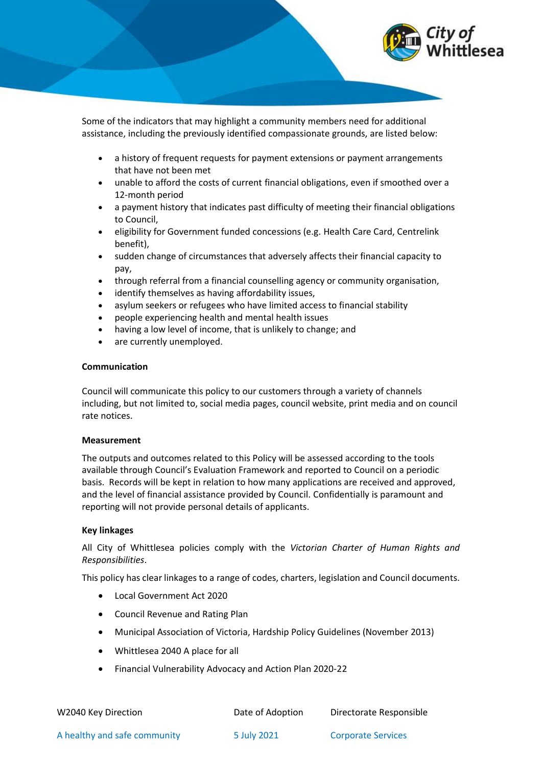

Some of the indicators that may highlight a community members need for additional assistance, including the previously identified compassionate grounds, are listed below:

- a history of frequent requests for payment extensions or payment arrangements that have not been met
- unable to afford the costs of current financial obligations, even if smoothed over a 12-month period
- a payment history that indicates past difficulty of meeting their financial obligations to Council,
- eligibility for Government funded concessions (e.g. Health Care Card, Centrelink benefit),
- sudden change of circumstances that adversely affects their financial capacity to pay,
- through referral from a financial counselling agency or community organisation,
- identify themselves as having affordability issues,
- asylum seekers or refugees who have limited access to financial stability
- people experiencing health and mental health issues
- having a low level of income, that is unlikely to change; and
- are currently unemployed.

## **Communication**

Council will communicate this policy to our customers through a variety of channels including, but not limited to, social media pages, council website, print media and on council rate notices.

#### **Measurement**

The outputs and outcomes related to this Policy will be assessed according to the tools available through Council's Evaluation Framework and reported to Council on a periodic basis. Records will be kept in relation to how many applications are received and approved, and the level of financial assistance provided by Council. Confidentially is paramount and reporting will not provide personal details of applicants.

## **Key linkages**

All City of Whittlesea policies comply with the *Victorian Charter of Human Rights and Responsibilities*.

This policy has clear linkages to a range of codes, charters, legislation and Council documents.

- Local Government Act 2020
- Council Revenue and Rating Plan
- Municipal Association of Victoria, Hardship Policy Guidelines (November 2013)
- Whittlesea 2040 A place for all
- Financial Vulnerability Advocacy and Action Plan 2020-22

| W2040 Key Direction          | Date of Adoption | Directorate Responsible   |
|------------------------------|------------------|---------------------------|
| A healthy and safe community | 5 July 2021      | <b>Corporate Services</b> |